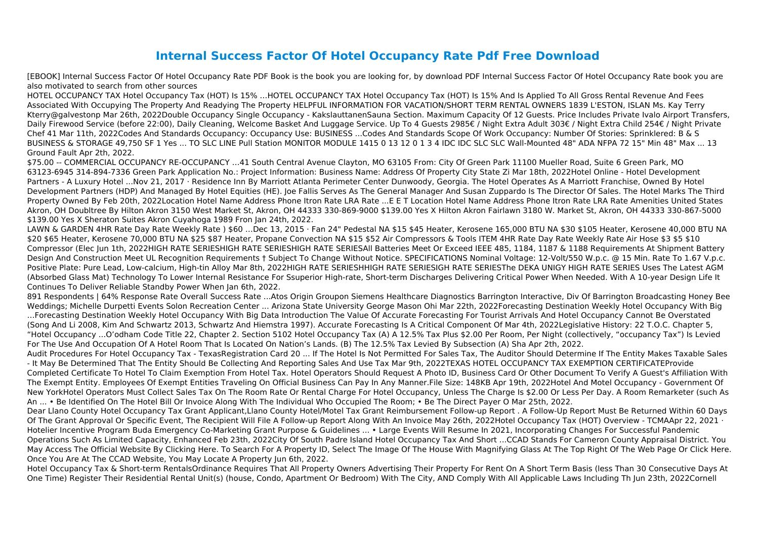## **Internal Success Factor Of Hotel Occupancy Rate Pdf Free Download**

[EBOOK] Internal Success Factor Of Hotel Occupancy Rate PDF Book is the book you are looking for, by download PDF Internal Success Factor Of Hotel Occupancy Rate book you are also motivated to search from other sources

HOTEL OCCUPANCY TAX Hotel Occupancy Tax (HOT) Is 15% …HOTEL OCCUPANCY TAX Hotel Occupancy Tax (HOT) Is 15% And Is Applied To All Gross Rental Revenue And Fees Associated With Occupying The Property And Readying The Property HELPFUL INFORMATION FOR VACATION/SHORT TERM RENTAL OWNERS 1839 L'ESTON, ISLAN Ms. Kay Terry Kterry@galvestonp Mar 26th, 2022Double Occupancy Single Occupancy - KakslauttanenSauna Section. Maximum Capacity Of 12 Guests. Price Includes Private Ivalo Airport Transfers, Daily Firewood Service (before 22:00), Daily Cleaning, Welcome Basket And Luggage Service. Up To 4 Guests 2985€ / Night Extra Adult 303€ / Night Extra Child 254€ / Night Private Chef 41 Mar 11th, 2022Codes And Standards Occupancy: Occupancy Use: BUSINESS ...Codes And Standards Scope Of Work Occupancy: Number Of Stories: Sprinklered: B & S BUSINESS & STORAGE 49,750 SF 1 Yes ... TO SLC LINE Pull Station MONITOR MODULE 1415 0 13 12 0 1 3 4 IDC IDC SLC SLC Wall-Mounted 48" ADA NFPA 72 15" Min 48" Max ... 13 Ground Fault Apr 2th, 2022.

\$75.00 -- COMMERCIAL OCCUPANCY RE-OCCUPANCY …41 South Central Avenue Clayton, MO 63105 From: City Of Green Park 11100 Mueller Road, Suite 6 Green Park, MO 63123-6945 314-894-7336 Green Park Application No.: Project Information: Business Name: Address Of Property City State Zi Mar 18th, 2022Hotel Online - Hotel Development Partners - A Luxury Hotel ...Nov 21, 2017 · Residence Inn By Marriott Atlanta Perimeter Center Dunwoody, Georgia. The Hotel Operates As A Marriott Franchise, Owned By Hotel Development Partners (HDP) And Managed By Hotel Equities (HE). Joe Fallis Serves As The General Manager And Susan Zuppardo Is The Director Of Sales. The Hotel Marks The Third Property Owned By Feb 20th, 2022Location Hotel Name Address Phone Itron Rate LRA Rate ...E E T Location Hotel Name Address Phone Itron Rate LRA Rate Amenities United States Akron, OH Doubltree By Hilton Akron 3150 West Market St, Akron, OH 44333 330-869-9000 \$139.00 Yes X Hilton Akron Fairlawn 3180 W. Market St, Akron, OH 44333 330-867-5000 \$139.00 Yes X Sheraton Suites Akron Cuyahoga 1989 Fron Jan 24th, 2022.

LAWN & GARDEN 4HR Rate Day Rate Weekly Rate ) \$60 …Dec 13, 2015 · Fan 24" Pedestal NA \$15 \$45 Heater, Kerosene 165,000 BTU NA \$30 \$105 Heater, Kerosene 40,000 BTU NA \$20 \$65 Heater, Kerosene 70,000 BTU NA \$25 \$87 Heater, Propane Convection NA \$15 \$52 Air Compressors & Tools ITEM 4HR Rate Day Rate Weekly Rate Air Hose \$3 \$5 \$10 Compressor (Elec Jun 1th, 2022HIGH RATE SERIESHIGH RATE SERIESHIGH RATE SERIESAll Batteries Meet Or Exceed IEEE 485, 1184, 1187 & 1188 Requirements At Shipment Battery Design And Construction Meet UL Recognition Requirements † Subject To Change Without Notice. SPECIFICATIONS Nominal Voltage: 12-Volt/550 W.p.c. @ 15 Min. Rate To 1.67 V.p.c. Positive Plate: Pure Lead, Low-calcium, High-tin Alloy Mar 8th, 2022HIGH RATE SERIESHHIGH RATE SERIESIGH RATE SERIESThe DEKA UNIGY HIGH RATE SERIES Uses The Latest AGM (Absorbed Glass Mat) Technology To Lower Internal Resistance For Ssuperior High-rate, Short-term Discharges Delivering Critical Power When Needed. With A 10-year Design Life It Continues To Deliver Reliable Standby Power When Jan 6th, 2022.

891 Respondents | 64% Response Rate Overall Success Rate ...Atos Origin Groupon Siemens Healthcare Diagnostics Barrington Interactive, Div Of Barrington Broadcasting Honey Bee Weddings; Michelle Durpetti Events Solon Recreation Center ... Arizona State University George Mason Ohi Mar 22th, 2022Forecasting Destination Weekly Hotel Occupancy With Big …Forecasting Destination Weekly Hotel Occupancy With Big Data Introduction The Value Of Accurate Forecasting For Tourist Arrivals And Hotel Occupancy Cannot Be Overstated (Song And Li 2008, Kim And Schwartz 2013, Schwartz And Hiemstra 1997). Accurate Forecasting Is A Critical Component Of Mar 4th, 2022Legislative History: 22 T.O.C. Chapter 5, "Hotel Occupancy ...O'odham Code Title 22, Chapter 2. Section 5102 Hotel Occupancy Tax (A) A 12.5% Tax Plus \$2.00 Per Room, Per Night (collectively, "occupancy Tax") Is Levied For The Use And Occupation Of A Hotel Room That Is Located On Nation's Lands. (B) The 12.5% Tax Levied By Subsection (A) Sha Apr 2th, 2022. Audit Procedures For Hotel Occupancy Tax - TexasRegistration Card 20 ... If The Hotel Is Not Permitted For Sales Tax, The Auditor Should Determine If The Entity Makes Taxable Sales - It May Be Determined That The Entity Should Be Collecting And Reporting Sales And Use Tax Mar 9th, 2022TEXAS HOTEL OCCUPANCY TAX EXEMPTION CERTIFICATEProvide Completed Certificate To Hotel To Claim Exemption From Hotel Tax. Hotel Operators Should Request A Photo ID, Business Card Or Other Document To Verify A Guest's Affiliation With The Exempt Entity. Employees Of Exempt Entities Traveling On Official Business Can Pay In Any Manner.File Size: 148KB Apr 19th, 2022Hotel And Motel Occupancy - Government Of New YorkHotel Operators Must Collect Sales Tax On The Room Rate Or Rental Charge For Hotel Occupancy, Unless The Charge Is \$2.00 Or Less Per Day. A Room Remarketer (such As An ... • Be Identified On The Hotel Bill Or Invoice Along With The Individual Who Occupied The Room; • Be The Direct Payer O Mar 25th, 2022. Dear Llano County Hotel Occupancy Tax Grant Applicant,Llano County Hotel/Motel Tax Grant Reimbursement Follow-up Report . A Follow-Up Report Must Be Returned Within 60 Days Of The Grant Approval Or Specific Event, The Recipient Will File A Follow-up Report Along With An Invoice May 26th, 2022Hotel Occupancy Tax (HOT) Overview - TCMAApr 22, 2021 · Hotelier Incentive Program Buda Emergency Co-Marketing Grant Purpose & Guidelines ... • Large Events Will Resume In 2021, Incorporating Changes For Successful Pandemic Operations Such As Limited Capacity, Enhanced Feb 23th, 2022City Of South Padre Island Hotel Occupancy Tax And Short ...CCAD Stands For Cameron County Appraisal District. You May Access The Official Website By Clicking Here. To Search For A Property ID, Select The Image Of The House With Magnifying Glass At The Top Right Of The Web Page Or Click Here. Once You Are At The CCAD Website, You May Locate A Property Jun 6th, 2022.

Hotel Occupancy Tax & Short-term RentalsOrdinance Requires That All Property Owners Advertising Their Property For Rent On A Short Term Basis (less Than 30 Consecutive Days At One Time) Register Their Residential Rental Unit(s) (house, Condo, Apartment Or Bedroom) With The City, AND Comply With All Applicable Laws Including Th Jun 23th, 2022Cornell